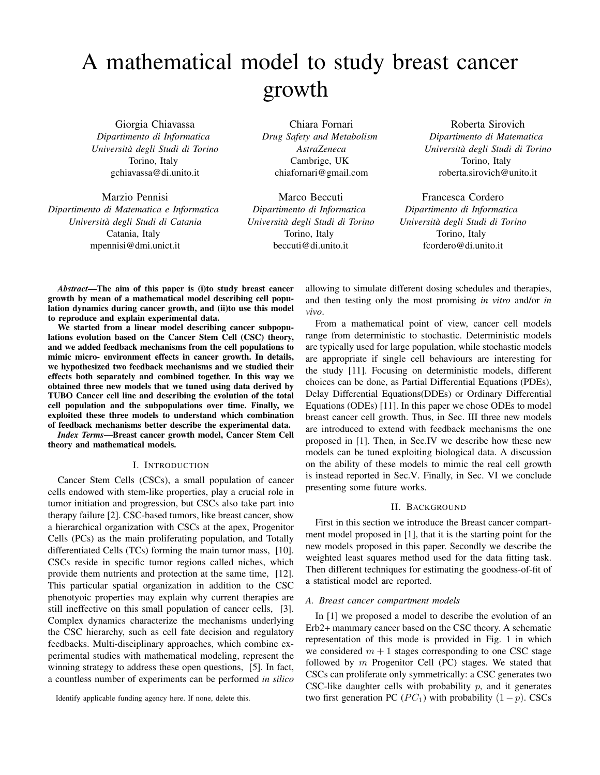# A mathematical model to study breast cancer growth

Giorgia Chiavassa *Dipartimento di Informatica Universita degli Studi di Torino `* Torino, Italy gchiavassa@di.unito.it

Marzio Pennisi *Dipartimento di Matematica e Informatica Universita degli Studi di Catania `* Catania, Italy mpennisi@dmi.unict.it

Chiara Fornari *Drug Safety and Metabolism AstraZeneca* Cambrige, UK chiafornari@gmail.com

Marco Beccuti *Dipartimento di Informatica Universita degli Studi di Torino `* Torino, Italy beccuti@di.unito.it

Roberta Sirovich *Dipartimento di Matematica Universita degli Studi di Torino `* Torino, Italy roberta.sirovich@unito.it

Francesca Cordero *Dipartimento di Informatica Universita degli Studi di Torino `* Torino, Italy fcordero@di.unito.it

*Abstract*—The aim of this paper is (i)to study breast cancer growth by mean of a mathematical model describing cell population dynamics during cancer growth, and (ii)to use this model to reproduce and explain experimental data.

We started from a linear model describing cancer subpopulations evolution based on the Cancer Stem Cell (CSC) theory, and we added feedback mechanisms from the cell populations to mimic micro- environment effects in cancer growth. In details, we hypothesized two feedback mechanisms and we studied their effects both separately and combined together. In this way we obtained three new models that we tuned using data derived by TUBO Cancer cell line and describing the evolution of the total cell population and the subpopulations over time. Finally, we exploited these three models to understand which combination of feedback mechanisms better describe the experimental data.

*Index Terms*—Breast cancer growth model, Cancer Stem Cell theory and mathematical models.

## I. INTRODUCTION

Cancer Stem Cells (CSCs), a small population of cancer cells endowed with stem-like properties, play a crucial role in tumor initiation and progression, but CSCs also take part into therapy failure [2]. CSC-based tumors, like breast cancer, show a hierarchical organization with CSCs at the apex, Progenitor Cells (PCs) as the main proliferating population, and Totally differentiated Cells (TCs) forming the main tumor mass, [10]. CSCs reside in specific tumor regions called niches, which provide them nutrients and protection at the same time, [12]. This particular spatial organization in addition to the CSC phenotyoic properties may explain why current therapies are still ineffective on this small population of cancer cells, [3]. Complex dynamics characterize the mechanisms underlying the CSC hierarchy, such as cell fate decision and regulatory feedbacks. Multi-disciplinary approaches, which combine experimental studies with mathematical modeling, represent the winning strategy to address these open questions, [5]. In fact, a countless number of experiments can be performed *in silico*

Identify applicable funding agency here. If none, delete this.

allowing to simulate different dosing schedules and therapies, and then testing only the most promising *in vitro* and/or *in vivo*.

From a mathematical point of view, cancer cell models range from deterministic to stochastic. Deterministic models are typically used for large population, while stochastic models are appropriate if single cell behaviours are interesting for the study [11]. Focusing on deterministic models, different choices can be done, as Partial Differential Equations (PDEs), Delay Differential Equations(DDEs) or Ordinary Differential Equations (ODEs) [11]. In this paper we chose ODEs to model breast cancer cell growth. Thus, in Sec. III three new models are introduced to extend with feedback mechanisms the one proposed in [1]. Then, in Sec.IV we describe how these new models can be tuned exploiting biological data. A discussion on the ability of these models to mimic the real cell growth is instead reported in Sec.V. Finally, in Sec. VI we conclude presenting some future works.

## II. BACKGROUND

First in this section we introduce the Breast cancer compartment model proposed in [1], that it is the starting point for the new models proposed in this paper. Secondly we describe the weighted least squares method used for the data fitting task. Then different techniques for estimating the goodness-of-fit of a statistical model are reported.

#### *A. Breast cancer compartment models*

In [1] we proposed a model to describe the evolution of an Erb2+ mammary cancer based on the CSC theory. A schematic representation of this mode is provided in Fig. 1 in which we considered  $m + 1$  stages corresponding to one CSC stage followed by  $m$  Progenitor Cell (PC) stages. We stated that CSCs can proliferate only symmetrically: a CSC generates two CSC-like daughter cells with probability  $p$ , and it generates two first generation PC ( $PC_1$ ) with probability (1 – p). CSCs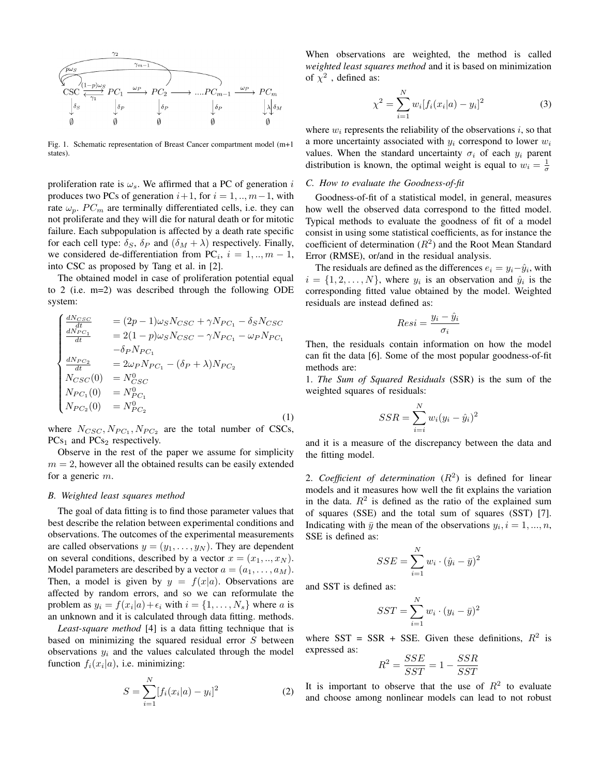

Fig. 1. Schematic representation of Breast Cancer compartment model (m+1 states).

proliferation rate is  $\omega_s$ . We affirmed that a PC of generation i produces two PCs of generation  $i+1$ , for  $i = 1, ..., m-1$ , with rate  $\omega_p$ . PC<sub>m</sub> are terminally differentiated cells, i.e. they can not proliferate and they will die for natural death or for mitotic failure. Each subpopulation is affected by a death rate specific for each cell type:  $\delta_S$ ,  $\delta_P$  and  $(\delta_M + \lambda)$  respectively. Finally, we considered de-differentiation from PC<sub>i</sub>,  $i = 1, ..., m - 1$ , into CSC as proposed by Tang et al. in [2].

The obtained model in case of proliferation potential equal to 2 (i.e. m=2) was described through the following ODE system:

$$
\begin{cases}\n\frac{dN_{CSC}}{dt} &= (2p - 1)\omega_S N_{CSC} + \gamma N_{PC_1} - \delta_S N_{CSC} \\
\frac{dN_{PC_1}}{dt} &= 2(1 - p)\omega_S N_{CSC} - \gamma N_{PC_1} - \omega_P N_{PC_1} \\
-\delta_P N_{PC_1} \\
\frac{dN_{PC_2}}{dt} &= 2\omega_P N_{PC_1} - (\delta_P + \lambda)N_{PC_2} \\
N_{CSC}(0) &= N_{CSC}^0 \\
N_{PC_1}(0) &= N_{PC_1}^0 \\
N_{PC_2}(0) &= N_{PC_2}^0\n\end{cases}
$$
\n(1)

where  $N_{CSC}, N_{PC_1}, N_{PC_2}$  are the total number of CSCs,  $PCs<sub>1</sub>$  and  $PCs<sub>2</sub>$  respectively.

Observe in the rest of the paper we assume for simplicity  $m = 2$ , however all the obtained results can be easily extended for a generic m.

## *B. Weighted least squares method*

The goal of data fitting is to find those parameter values that best describe the relation between experimental conditions and observations. The outcomes of the experimental measurements are called observations  $y = (y_1, \ldots, y_N)$ . They are dependent on several conditions, described by a vector  $x = (x_1, \ldots, x_N)$ . Model parameters are described by a vector  $a = (a_1, \ldots, a_M)$ . Then, a model is given by  $y = f(x|a)$ . Observations are affected by random errors, and so we can reformulate the problem as  $y_i = f(x_i|a) + \epsilon_i$  with  $i = \{1, \dots, N_s\}$  where a is an unknown and it is calculated through data fitting. methods.

*Least-square method* [4] is a data fitting technique that is based on minimizing the squared residual error  $S$  between observations  $y_i$  and the values calculated through the model function  $f_i(x_i|a)$ , i.e. minimizing:

$$
S = \sum_{i=1}^{N} [f_i(x_i|a) - y_i]^2
$$
 (2)

When observations are weighted, the method is called *weighted least squares method* and it is based on minimization of  $\chi^2$  , defined as:

$$
\chi^2 = \sum_{i=1}^{N} w_i [f_i(x_i|a) - y_i]^2
$$
 (3)

where  $w_i$  represents the reliability of the observations  $i$ , so that a more uncertainty associated with  $y_i$  correspond to lower  $w_i$ values. When the standard uncertainty  $\sigma_i$  of each  $y_i$  parent distribution is known, the optimal weight is equal to  $w_i = \frac{1}{\sigma}$ 

# *C. How to evaluate the Goodness-of-fit*

Goodness-of-fit of a statistical model, in general, measures how well the observed data correspond to the fitted model. Typical methods to evaluate the goodness of fit of a model consist in using some statistical coefficients, as for instance the coefficient of determination  $(R^2)$  and the Root Mean Standard Error (RMSE), or/and in the residual analysis.

The residuals are defined as the differences  $e_i = y_i - \hat{y}_i$ , with  $i = \{1, 2, \dots, N\}$ , where  $y_i$  is an observation and  $\hat{y}_i$  is the corresponding fitted value obtained by the model. Weighted residuals are instead defined as:

$$
Resi = \frac{y_i - \hat{y}_i}{\sigma_i}
$$

Then, the residuals contain information on how the model can fit the data [6]. Some of the most popular goodness-of-fit methods are:

1. *The Sum of Squared Residuals* (SSR) is the sum of the weighted squares of residuals:

$$
SSR = \sum_{i=i}^{N} w_i (y_i - \hat{y}_i)^2
$$

and it is a measure of the discrepancy between the data and the fitting model.

2. *Coefficient of determination*  $(R^2)$  is defined for linear models and it measures how well the fit explains the variation in the data.  $R^2$  is defined as the ratio of the explained sum of squares (SSE) and the total sum of squares (SST) [7]. Indicating with  $\bar{y}$  the mean of the observations  $y_i$ ,  $i = 1, ..., n$ , SSE is defined as:

$$
SSE = \sum_{i=1}^{N} w_i \cdot (\hat{y}_i - \bar{y})^2
$$

and SST is defined as:

 $S$ 

$$
ST = \sum_{i=1}^{N} w_i \cdot (y_i - \bar{y})^2
$$

where SST = SSR + SSE. Given these definitions,  $R^2$  is expressed as:

$$
R^2 = \frac{SSE}{SST} = 1 - \frac{SSR}{SST}
$$

It is important to observe that the use of  $R^2$  to evaluate and choose among nonlinear models can lead to not robust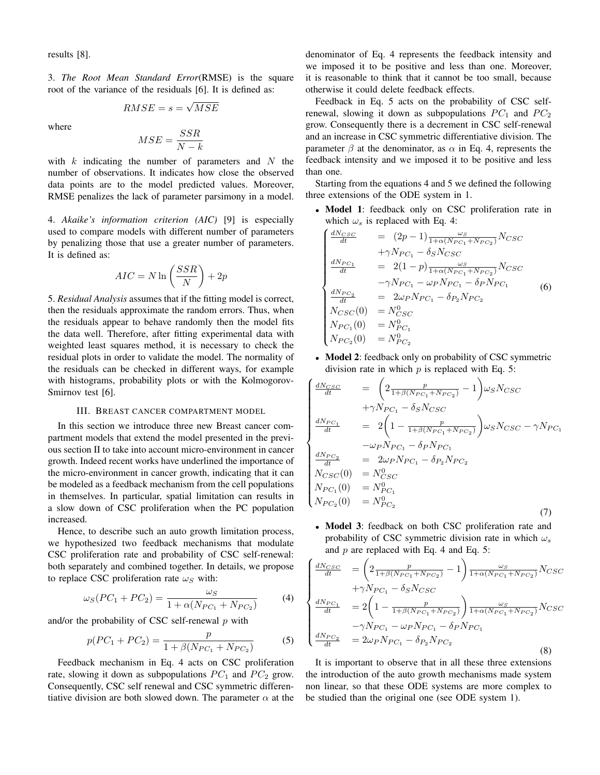results [8].

3. *The Root Mean Standard Error*(RMSE) is the square root of the variance of the residuals [6]. It is defined as:

$$
RMSE = s = \sqrt{MSE}
$$

where

$$
MSE = \frac{SSR}{N-k}
$$

with  $k$  indicating the number of parameters and  $N$  the number of observations. It indicates how close the observed data points are to the model predicted values. Moreover, RMSE penalizes the lack of parameter parsimony in a model.

4. *Akaike's information criterion (AIC)* [9] is especially used to compare models with different number of parameters by penalizing those that use a greater number of parameters. It is defined as:

$$
AIC = N \ln \left( \frac{SSR}{N} \right) + 2p
$$

5. *Residual Analysis* assumes that if the fitting model is correct, then the residuals approximate the random errors. Thus, when the residuals appear to behave randomly then the model fits the data well. Therefore, after fitting experimental data with weighted least squares method, it is necessary to check the residual plots in order to validate the model. The normality of the residuals can be checked in different ways, for example with histograms, probability plots or with the Kolmogorov-Smirnov test [6].

# III. BREAST CANCER COMPARTMENT MODEL

In this section we introduce three new Breast cancer compartment models that extend the model presented in the previous section II to take into account micro-environment in cancer growth. Indeed recent works have underlined the importance of the micro-environment in cancer growth, indicating that it can be modeled as a feedback mechanism from the cell populations in themselves. In particular, spatial limitation can results in a slow down of CSC proliferation when the PC population increased.

Hence, to describe such an auto growth limitation process, we hypothesized two feedback mechanisms that modulate CSC proliferation rate and probability of CSC self-renewal: both separately and combined together. In details, we propose to replace CSC proliferation rate  $\omega_S$  with:

$$
\omega_S (PC_1 + PC_2) = \frac{\omega_S}{1 + \alpha (N_{PC_1} + N_{PC_2})}
$$
(4)

and/or the probability of CSC self-renewal  $p$  with

$$
p(PC_1 + PC_2) = \frac{p}{1 + \beta(N_{PC_1} + N_{PC_2})}
$$
 (5)

Feedback mechanism in Eq. 4 acts on CSC proliferation rate, slowing it down as subpopulations  $PC_1$  and  $PC_2$  grow. Consequently, CSC self renewal and CSC symmetric differentiative division are both slowed down. The parameter  $\alpha$  at the denominator of Eq. 4 represents the feedback intensity and we imposed it to be positive and less than one. Moreover, it is reasonable to think that it cannot be too small, because otherwise it could delete feedback effects.

Feedback in Eq. 5 acts on the probability of CSC selfrenewal, slowing it down as subpopulations  $PC<sub>1</sub>$  and  $PC<sub>2</sub>$ grow. Consequently there is a decrement in CSC self-renewal and an increase in CSC symmetric differentiative division. The parameter  $\beta$  at the denominator, as  $\alpha$  in Eq. 4, represents the feedback intensity and we imposed it to be positive and less than one.

Starting from the equations 4 and 5 we defined the following three extensions of the ODE system in 1.

• Model 1: feedback only on CSC proliferation rate in which  $\omega_s$  is replaced with Eq. 4:

$$
\begin{cases}\n\frac{dN_{CSC}}{dt} = (2p-1)\frac{\omega_S}{1+\alpha(N_{PC_1}+N_{PC_2})}N_{CSC} \\
+ \gamma N_{PC_1} - \delta_S N_{CSC} \\
\frac{dN_{PC_1}}{dt} = 2(1-p)\frac{\omega_S}{1+\alpha(N_{PC_1}+N_{PC_2})}N_{CSC} \\
- \gamma N_{PC_1} - \omega_P N_{PC_1} - \delta_P N_{PC_1} \\
\frac{dN_{PC_2}}{dt} = 2\omega_P N_{PC_1} - \delta_{P_2} N_{PC_2} \\
N_{CSC}(0) = N_{CSC}^0 \\
N_{PC_1}(0) = N_{PC_1}^0 \\
N_{PC_2}(0) = N_{PC_2}^0\n\end{cases}
$$
\n(6)

• Model 2: feedback only on probability of CSC symmetric division rate in which  $p$  is replaced with Eq. 5:

$$
\begin{cases}\n\frac{dN_{CSC}}{dt} = \left(2 \frac{p}{1 + \beta(N_{PC_1} + N_{PC_2})} - 1\right) \omega_S N_{CSC} \\
+ \gamma N_{PC_1} - \delta_S N_{CSC} \\
\frac{dN_{PC_1}}{dt} = 2\left(1 - \frac{p}{1 + \beta(N_{PC_1} + N_{PC_2})}\right) \omega_S N_{CSC} - \gamma N_{PC_1} \\
-\omega_P N_{PC_1} - \delta_P N_{PC_1} \\
\frac{dN_{PC_2}}{dt} = 2\omega_P N_{PC_1} - \delta_{P_2} N_{PC_2} \\
N_{CSC}(0) = N_{CSC}^0 \\
N_{PC_1}(0) = N_{PC_1}^0 \\
N_{PC_2}(0) = N_{PC_2}^0\n\end{cases} (7)
$$

• Model 3: feedback on both CSC proliferation rate and probability of CSC symmetric division rate in which  $\omega_s$ and  $p$  are replaced with Eq. 4 and Eq. 5:

$$
\begin{cases}\n\frac{dN_{CSC}}{dt} = \left(2\frac{p}{1+\beta(N_{PC_1}+N_{PC_2})} - 1\right) \frac{\omega_S}{1+\alpha(N_{PC_1}+N_{PC_2})} N_{CSC} \\
+ \gamma N_{PC_1} - \delta_S N_{CSC} \\
\frac{dN_{PC_1}}{dt} = 2\left(1 - \frac{p}{1+\beta(N_{PC_1}+N_{PC_2})}\right) \frac{\omega_S}{1+\alpha(N_{PC_1}+N_{PC_2})} N_{CSC} \\
-\gamma N_{PC_1} - \omega_P N_{PC_1} - \delta_P N_{PC_1} \\
\frac{dN_{PC_2}}{dt} = 2\omega_P N_{PC_1} - \delta_{P_2} N_{PC_2}\n\end{cases}
$$
\n(8)

It is important to observe that in all these three extensions the introduction of the auto growth mechanisms made system non linear, so that these ODE systems are more complex to be studied than the original one (see ODE system 1).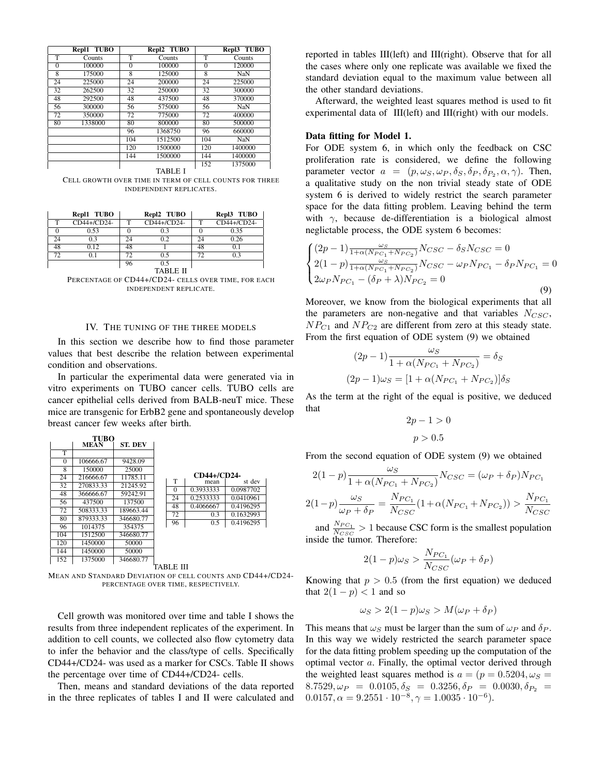|          | Repl1 TUBO |                         | Repl2 TUBO |                | Repl3 TUBO |
|----------|------------|-------------------------|------------|----------------|------------|
| т        | Counts     | т                       | Counts     | т              | Counts     |
| $\theta$ | 100000     | $\theta$                | 100000     | $\theta$       | 120000     |
| 8        | 175000     | $\overline{\mathbf{8}}$ | 125000     | $\overline{8}$ | NaN        |
| 24       | 225000     | $\overline{24}$         | 200000     | 24             | 225000     |
| 32       | 262500     | 32                      | 250000     | 32             | 300000     |
| 48       | 292500     | 48                      | 437500     | 48             | 370000     |
| 56       | 300000     | 56                      | 575000     | 56             | NaN        |
| 72       | 350000     | 72                      | 775000     | 72             | 400000     |
| 80       | 1338000    | 80                      | 800000     | 80             | 500000     |
|          |            | 96                      | 1368750    | 96             | 660000     |
|          |            | 104                     | 1512500    | 104            | <b>NaN</b> |
|          |            | 120                     | 1500000    | 120            | 1400000    |
|          |            | 144                     | 1500000    | 144            | 1400000    |
|          |            |                         |            | 152            | 1375000    |

TABLE I

CELL GROWTH OVER TIME IN TERM OF CELL COUNTS FOR THREE INDEPENDENT REPLICATES.

|    | Repl1 TUBO  |    | Repl2 TUBO      |    | Repl3 TUBO  |
|----|-------------|----|-----------------|----|-------------|
| т  | CD44+/CD24- | т  | CD44+/CD24-     | т  | CD44+/CD24- |
|    | 0.53        |    | 0.3             |    | 0.35        |
| 24 | 0.3         | 24 | 0.2             | 24 | 0.26        |
| 48 | 0.12        | 48 |                 | 48 | 0.1         |
| 72 | 0.1         | 72 | 0.5             | 72 | 0.3         |
|    |             | 96 | 0.5             |    |             |
|    |             |    | <b>TABLE II</b> |    |             |

PERCENTAGE OF CD44+/CD24- CELLS OVER TIME, FOR EACH INDEPENDENT REPLICATE.

# IV. THE TUNING OF THE THREE MODELS

In this section we describe how to find those parameter values that best describe the relation between experimental condition and observations.

In particular the experimental data were generated via in vitro experiments on TUBO cancer cells. TUBO cells are cancer epithelial cells derived from BALB-neuT mice. These mice are transgenic for ErbB2 gene and spontaneously develop breast cancer few weeks after birth.

|          | <b>TUBO</b> |                |          |             |           |
|----------|-------------|----------------|----------|-------------|-----------|
|          | <b>MEAN</b> | <b>ST. DEV</b> |          |             |           |
| т        |             |                |          |             |           |
| $\Omega$ | 106666.67   | 9428.09        |          |             |           |
| 8        | 150000      | 25000          |          |             |           |
| 24       | 216666.67   | 11785.11       |          | CD44+/CD24- |           |
| 32       | 270833.33   | 21245.92       | T        | mean        | st dev    |
| 48       | 366666.67   | 59242.91       | $\Omega$ | 0.3933333   | 0.0987702 |
| 56       | 437500      | 137500         | 24       | 0.2533333   | 0.0410961 |
| 72       | 508333.33   | 189663.44      | 48       | 0.4066667   | 0.4196295 |
| 80       | 879333.33   | 346680.77      | 72       | 0.3         | 0.1632993 |
|          |             |                | 96       | 0.5         | 0.4196295 |
| 96       | 1014375     | 354375         |          |             |           |
| 104      | 1512500     | 346680.77      |          |             |           |
| 120      | 1450000     | 50000          |          |             |           |
| 144      | 1450000     | 50000          |          |             |           |
| 152      | 1375000     | 346680.77      |          |             |           |

TABLE III MEAN AND STANDARD DEVIATION OF CELL COUNTS AND CD44+/CD24- PERCENTAGE OVER TIME, RESPECTIVELY.

Cell growth was monitored over time and table I shows the results from three independent replicates of the experiment. In addition to cell counts, we collected also flow cytometry data to infer the behavior and the class/type of cells. Specifically CD44+/CD24- was used as a marker for CSCs. Table II shows the percentage over time of CD44+/CD24- cells.

Then, means and standard deviations of the data reported in the three replicates of tables I and II were calculated and reported in tables III(left) and III(right). Observe that for all the cases where only one replicate was available we fixed the standard deviation equal to the maximum value between all the other standard deviations.

Afterward, the weighted least squares method is used to fit experimental data of III(left) and III(right) with our models.

#### Data fitting for Model 1.

For ODE system 6, in which only the feedback on CSC proliferation rate is considered, we define the following parameter vector  $a = (p, \omega_S, \omega_P, \delta_S, \delta_P, \delta_{P_2}, \alpha, \gamma)$ . Then, a qualitative study on the non trivial steady state of ODE system 6 is derived to widely restrict the search parameter space for the data fitting problem. Leaving behind the term with  $\gamma$ , because de-differentiation is a biological almost neglictable process, the ODE system 6 becomes:

$$
\begin{cases}\n(2p-1) \frac{\omega_S}{1 + \alpha (N_{PC_1} + N_{PC_2})} N_{CSC} - \delta_S N_{CSC} = 0 \\
2(1-p) \frac{\omega_S}{1 + \alpha (N_{PC_1} + N_{PC_2})} N_{CSC} - \omega_P N_{PC_1} - \delta_P N_{PC_1} = 0 \\
2\omega_P N_{PC_1} - (\delta_P + \lambda) N_{PC_2} = 0\n\end{cases}
$$
\n(9)

Moreover, we know from the biological experiments that all the parameters are non-negative and that variables  $N_{CSC}$ ,  $NP_{C1}$  and  $NP_{C2}$  are different from zero at this steady state. From the first equation of ODE system (9) we obtained

$$
(2p - 1)\frac{\omega_S}{1 + \alpha(N_{PC_1} + N_{PC_2})} = \delta_S
$$

$$
(2p - 1)\omega_S = [1 + \alpha(N_{PC_1} + N_{PC_2})]\delta_S
$$

As the term at the right of the equal is positive, we deduced that

$$
2p - 1 > 0
$$
\n
$$
p > 0.5
$$

From the second equation of ODE system (9) we obtained

$$
2(1-p)\frac{\omega_S}{1 + \alpha(N_{PC_1} + N_{PC_2})}N_{CSC} = (\omega_P + \delta_P)N_{PC_1}
$$

$$
2(1-p)\frac{\omega_S}{\omega_P + \delta_P} = \frac{N_{PC_1}}{N_{CSC}}(1 + \alpha(N_{PC_1} + N_{PC_2})) > \frac{N_{PC_1}}{N_{CSC}}
$$

and  $\frac{N_{PC_1}}{N_{CSC}} > 1$  because CSC form is the smallest population inside the tumor. Therefore:

$$
2(1-p)\omega_S > \frac{N_{PC_1}}{N_{CSC}}(\omega_P + \delta_P)
$$

Knowing that  $p > 0.5$  (from the first equation) we deduced that  $2(1-p) < 1$  and so

$$
\omega_S > 2(1-p)\omega_S > M(\omega_P + \delta_P)
$$

This means that  $\omega_S$  must be larger than the sum of  $\omega_P$  and  $\delta_P$ . In this way we widely restricted the search parameter space for the data fitting problem speeding up the computation of the optimal vector a. Finally, the optimal vector derived through the weighted least squares method is  $a = (p = 0.5204, \omega<sub>S</sub>)$  $8.7529, \omega_P = 0.0105, \delta_S = 0.3256, \delta_P = 0.0030, \delta_{P_2} =$  $0.0157, \alpha = 9.2551 \cdot 10^{-8}, \gamma = 1.0035 \cdot 10^{-6}$ .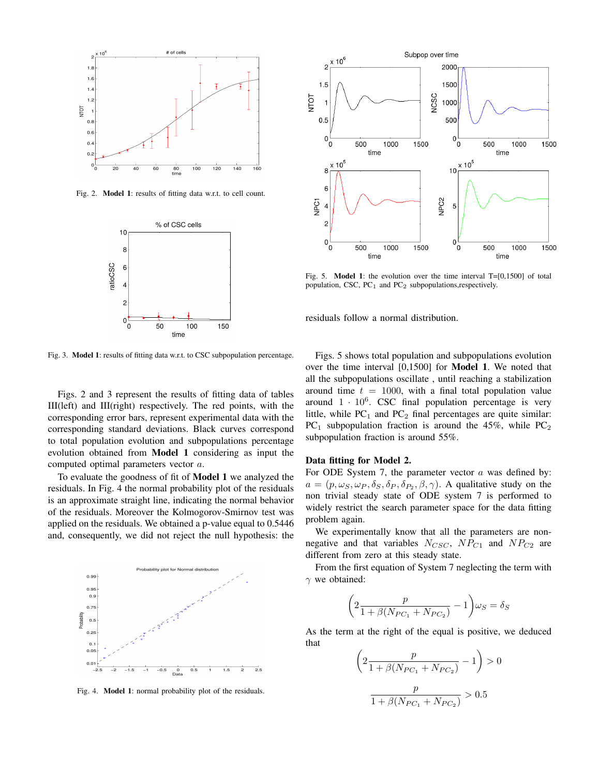

Fig. 2. Model 1: results of fitting data w.r.t. to cell count.



Fig. 3. Model 1: results of fitting data w.r.t. to CSC subpopulation percentage.

Figs. 2 and 3 represent the results of fitting data of tables III(left) and III(right) respectively. The red points, with the corresponding error bars, represent experimental data with the corresponding standard deviations. Black curves correspond to total population evolution and subpopulations percentage evolution obtained from Model 1 considering as input the computed optimal parameters vector a.

To evaluate the goodness of fit of Model 1 we analyzed the residuals. In Fig. 4 the normal probability plot of the residuals is an approximate straight line, indicating the normal behavior of the residuals. Moreover the Kolmogorov-Smirnov test was applied on the residuals. We obtained a p-value equal to 0.5446 and, consequently, we did not reject the null hypothesis: the



Fig. 4. Model 1: normal probability plot of the residuals.



Fig. 5. **Model 1**: the evolution over the time interval  $T=[0,1500]$  of total population, CSC, PC<sub>1</sub> and PC<sub>2</sub> subpopulations,respectively.

residuals follow a normal distribution.

Figs. 5 shows total population and subpopulations evolution over the time interval [0,1500] for Model 1. We noted that all the subpopulations oscillate , until reaching a stabilization around time  $t = 1000$ , with a final total population value around  $1 \cdot 10^6$ . CSC final population percentage is very little, while  $PC_1$  and  $PC_2$  final percentages are quite similar:  $PC_1$  subpopulation fraction is around the 45%, while  $PC_2$ subpopulation fraction is around 55%.

# Data fitting for Model 2.

For ODE System 7, the parameter vector  $a$  was defined by:  $a = (p, \omega_S, \omega_P, \delta_S, \delta_P, \delta_{P_2}, \beta, \gamma)$ . A qualitative study on the non trivial steady state of ODE system 7 is performed to widely restrict the search parameter space for the data fitting problem again.

We experimentally know that all the parameters are nonnegative and that variables  $N_{CSC}$ ,  $NP_{C1}$  and  $NP_{C2}$  are different from zero at this steady state.

From the first equation of System 7 neglecting the term with  $\gamma$  we obtained:

$$
\left(2\frac{p}{1+\beta(N_{PC_1}+N_{PC_2})}-1\right)\omega_S = \delta_S
$$

As the term at the right of the equal is positive, we deduced that

$$
\left(2\frac{p}{1 + \beta(N_{PC_1} + N_{PC_2})} - 1\right) > 0
$$
  

$$
\frac{p}{1 + \beta(N_{PC_1} + N_{PC_2})} > 0.5
$$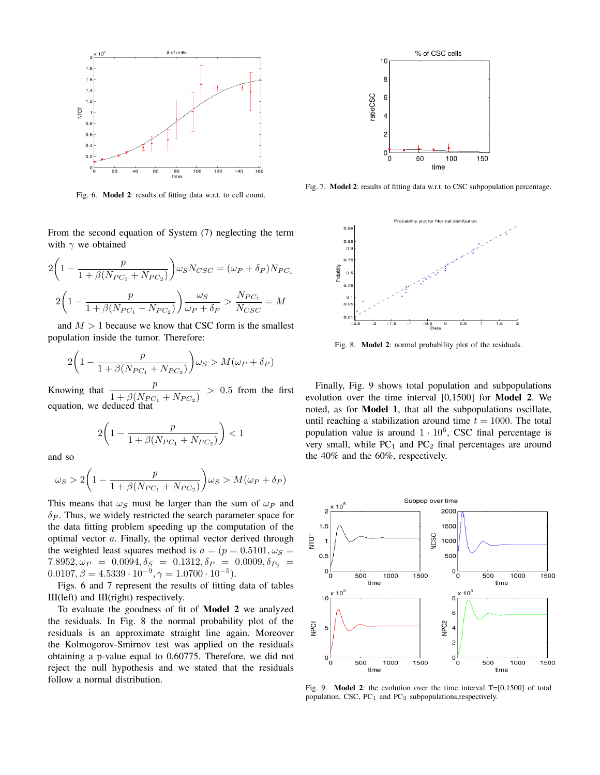

Fig. 6. Model 2: results of fitting data w.r.t. to cell count.

From the second equation of System (7) neglecting the term with  $\gamma$  we obtained

$$
2\left(1 - \frac{p}{1 + \beta(N_{PC_1} + N_{PC_2})}\right) \omega_S N_{CSC} = (\omega_P + \delta_P)N_{PC_1}
$$

$$
2\left(1 - \frac{p}{1 + \beta(N_{PC_1} + N_{PC_2})}\right) \frac{\omega_S}{\omega_P + \delta_P} > \frac{N_{PC_1}}{N_{CSC}} = M
$$

and  $M > 1$  because we know that CSC form is the smallest population inside the tumor. Therefore:

$$
2\left(1 - \frac{p}{1 + \beta(N_{PC_1} + N_{PC_2})}\right)\omega_S > M(\omega_P + \delta_P)
$$

Knowing that  $\frac{p}{1 + \rho \sqrt{N}}$  $\frac{P}{1 + \beta(N_{PC_1} + N_{PC_2})} > 0.5$  from the first equation, we deduced that

$$
2\bigg(1-\frac{p}{1+\beta(N_{PC_1}+N_{PC_2})}\bigg)<1
$$

and so

$$
\omega_S > 2\left(1 - \frac{p}{1 + \beta(N_{PC_1} + N_{PC_2})}\right)\omega_S > M(\omega_P + \delta_P)
$$

This means that  $\omega_s$  must be larger than the sum of  $\omega_P$  and  $\delta_P$ . Thus, we widely restricted the search parameter space for the data fitting problem speeding up the computation of the optimal vector  $a$ . Finally, the optimal vector derived through the weighted least squares method is  $a = (p = 0.5101, \omega<sub>S</sub>)$  $7.8952, \omega_P = 0.0094, \delta_S = 0.1312, \delta_P = 0.0009, \delta_{P_2} =$  $0.0107, \beta = 4.5339 \cdot 10^{-9}, \gamma = 1.0700 \cdot 10^{-5}$ .

Figs. 6 and 7 represent the results of fitting data of tables III(left) and III(right) respectively.

To evaluate the goodness of fit of Model 2 we analyzed the residuals. In Fig. 8 the normal probability plot of the residuals is an approximate straight line again. Moreover the Kolmogorov-Smirnov test was applied on the residuals obtaining a p-value equal to 0.60775. Therefore, we did not reject the null hypothesis and we stated that the residuals follow a normal distribution.



Fig. 7. Model 2: results of fitting data w.r.t. to CSC subpopulation percentage.



Fig. 8. Model 2: normal probability plot of the residuals.

Finally, Fig. 9 shows total population and subpopulations evolution over the time interval [0,1500] for Model 2. We noted, as for Model 1, that all the subpopulations oscillate, until reaching a stabilization around time  $t = 1000$ . The total population value is around  $1 \cdot 10^6$ , CSC final percentage is very small, while  $PC_1$  and  $PC_2$  final percentages are around the 40% and the 60%, respectively.



Fig. 9. **Model 2**: the evolution over the time interval  $T=[0,1500]$  of total population, CSC,  $PC<sub>1</sub>$  and  $PC<sub>2</sub>$  subpopulations,respectively.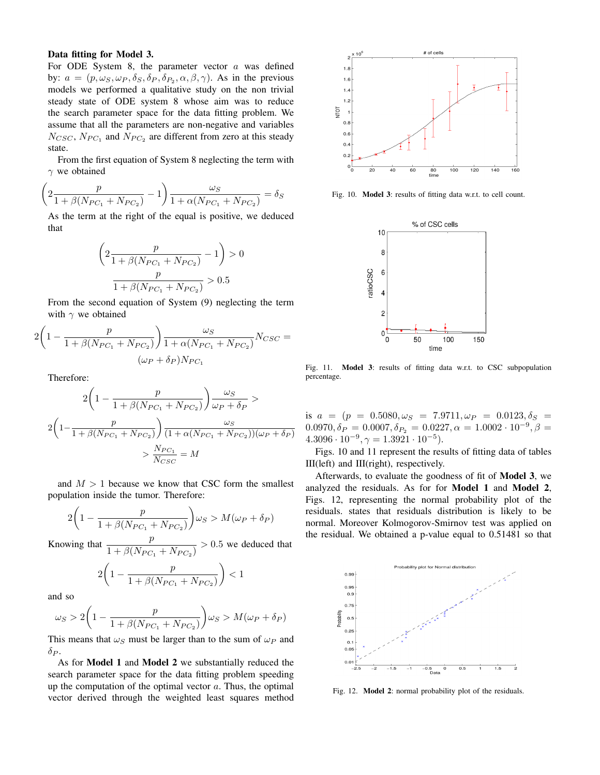# Data fitting for Model 3.

For ODE System 8, the parameter vector  $a$  was defined by:  $a = (p, \omega_S, \omega_P, \delta_S, \delta_P, \delta_{P_2}, \alpha, \beta, \gamma)$ . As in the previous models we performed a qualitative study on the non trivial steady state of ODE system 8 whose aim was to reduce the search parameter space for the data fitting problem. We assume that all the parameters are non-negative and variables  $N_{CSC}$ ,  $N_{PC_1}$  and  $N_{PC_2}$  are different from zero at this steady state.

From the first equation of System 8 neglecting the term with  $\gamma$  we obtained

$$
\left(2\frac{p}{1 + \beta(N_{PC_1} + N_{PC_2})} - 1\right) \frac{\omega_S}{1 + \alpha(N_{PC_1} + N_{PC_2})} = \delta_S
$$

As the term at the right of the equal is positive, we deduced that

$$
\left(2\frac{p}{1 + \beta(N_{PC_1} + N_{PC_2})} - 1\right) > 0
$$

$$
\frac{p}{1 + \beta(N_{PC_1} + N_{PC_2})} > 0.5
$$

From the second equation of System (9) neglecting the term with  $\gamma$  we obtained

$$
2\left(1 - \frac{p}{1 + \beta(N_{PC_1} + N_{PC_2})}\right) \frac{\omega_S}{1 + \alpha(N_{PC_1} + N_{PC_2})} N_{CSC} = (\omega_P + \delta_P) N_{PC_1}
$$

Therefore:

$$
2\left(1 - \frac{p}{1 + \beta(N_{PC_1} + N_{PC_2})}\right)\frac{\omega_S}{\omega_P + \delta_P} >
$$
  

$$
2\left(1 - \frac{p}{1 + \beta(N_{PC_1} + N_{PC_2})}\right)\frac{\omega_S}{(1 + \alpha(N_{PC_1} + N_{PC_2}))(\omega_P + \delta_P)}
$$
  

$$
> \frac{N_{PC_1}}{N_{CSC}} = M
$$

and  $M > 1$  because we know that CSC form the smallest population inside the tumor. Therefore:

$$
2\left(1 - \frac{p}{1 + \beta(N_{PC_1} + N_{PC_2})}\right)\omega_S > M(\omega_P + \delta_P)
$$

Knowing that  $\frac{p}{1 + \frac{Q(\mathbf{M})}{n}}$  $\frac{P}{1 + \beta(N_{PC_1} + N_{PC_2})} > 0.5$  we deduced that

$$
2\left(1 - \frac{p}{1 + \beta(N_{PC_1} + N_{PC_2})}\right) < 1
$$

and so

$$
\omega_S > 2\left(1 - \frac{p}{1 + \beta(N_{PC_1} + N_{PC_2})}\right)\omega_S > M(\omega_P + \delta_P)
$$

This means that  $\omega_S$  must be larger than to the sum of  $\omega_P$  and  $\delta_{P}$ .

As for Model 1 and Model 2 we substantially reduced the search parameter space for the data fitting problem speeding up the computation of the optimal vector  $a$ . Thus, the optimal vector derived through the weighted least squares method



Fig. 10. Model 3: results of fitting data w.r.t. to cell count.



Fig. 11. Model 3: results of fitting data w.r.t. to CSC subpopulation percentage.

is  $a = (p = 0.5080, \omega_S = 7.9711, \omega_P = 0.0123, \delta_S =$  $0.0970, \delta_P = 0.0007, \delta_{P_2} = 0.0227, \alpha = 1.0002 \cdot 10^{-9}, \beta =$  $4.3096 \cdot 10^{-9}, \gamma = 1.3921 \cdot 10^{-5}$ .

Figs. 10 and 11 represent the results of fitting data of tables III(left) and III(right), respectively.

Afterwards, to evaluate the goodness of fit of Model 3, we analyzed the residuals. As for for Model 1 and Model 2, Figs. 12, representing the normal probability plot of the residuals. states that residuals distribution is likely to be normal. Moreover Kolmogorov-Smirnov test was applied on the residual. We obtained a p-value equal to 0.51481 so that



Fig. 12. Model 2: normal probability plot of the residuals.